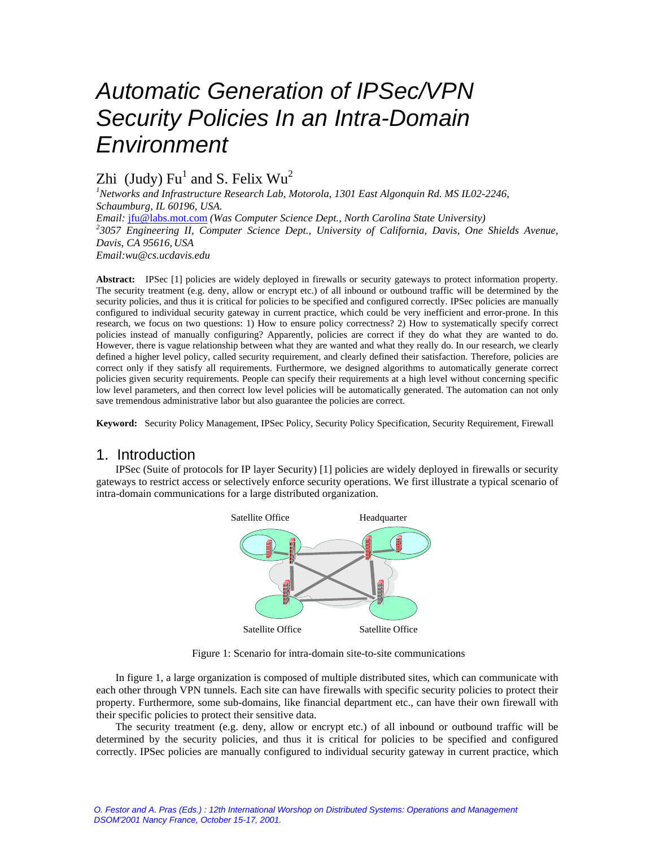# *Automatic Generation of IPSec/VPN Security Policies In an Intra-Domain Environment*

## Zhi (Judy)  $Fu<sup>1</sup>$  and S. Felix  $Wu<sup>2</sup>$

*<sup>1</sup>Networks and Infrastructure Research Lab, Motorola, 1301 East Algonquin Rd. MS IL02-2246, Schaumburg, IL 60196, USA.*

*Email:* jfu@labs.mot.com *(Was Computer Science Dept., North Carolina State University) 2 3057 Engineering II, Computer Science Dept., University of California, Davis, One Shields Avenue, Davis, CA 95616, USA Email:wu@cs.ucdavis.edu*

**Abstract:** IPSec [1] policies are widely deployed in firewalls or security gateways to protect information property. The security treatment (e.g. deny, allow or encrypt etc.) of all inbound or outbound traffic will be determined by the security policies, and thus it is critical for policies to be specified and configured correctly. IPSec policies are manually configured to individual security gateway in current practice, which could be very inefficient and error-prone. In this research, we focus on two questions: 1) How to ensure policy correctness? 2) How to systematically specify correct policies instead of manually configuring? Apparently, policies are correct if they do what they are wanted to do. However, there is vague relationship between what they are wanted and what they really do. In our research, we clearly defined a higher level policy, called security requirement, and clearly defined their satisfaction. Therefore, policies are correct only if they satisfy all requirements. Furthermore, we designed algorithms to automatically generate correct policies given security requirements. People can specify their requirements at a high level without concerning specific low level parameters, and then correct low level policies will be automatically generated. The automation can not only save tremendous administrative labor but also guarantee the policies are correct.

**Keyword:** Security Policy Management, IPSec Policy, Security Policy Specification, Security Requirement, Firewall

## 1. Introduction

IPSec (Suite of protocols for IP layer Security) [1] policies are widely deployed in firewalls or security gateways to restrict access or selectively enforce security operations. We first illustrate a typical scenario of intra-domain communications for a large distributed organization.



Figure 1: Scenario for intra-domain site-to-site communications

In figure 1, a large organization is composed of multiple distributed sites, which can communicate with each other through VPN tunnels. Each site can have firewalls with specific security policies to protect their property. Furthermore, some sub-domains, like financial department etc., can have their own firewall with their specific policies to protect their sensitive data.

The security treatment (e.g. deny, allow or encrypt etc.) of all inbound or outbound traffic will be determined by the security policies, and thus it is critical for policies to be specified and configured correctly. IPSec policies are manually configured to individual security gateway in current practice, which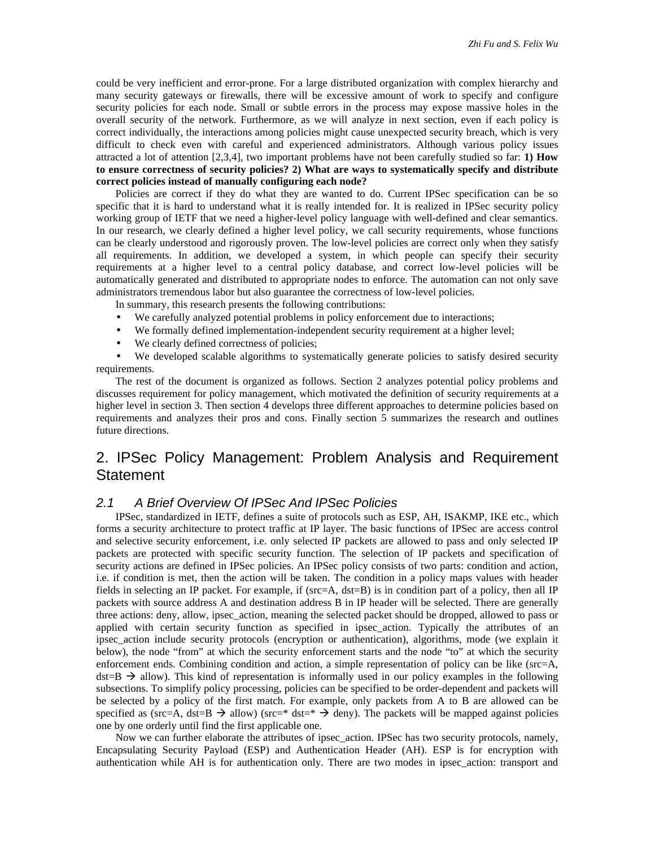could be very inefficient and error-prone. For a large distributed organization with complex hierarchy and many security gateways or firewalls, there will be excessive amount of work to specify and configure security policies for each node. Small or subtle errors in the process may expose massive holes in the overall security of the network. Furthermore, as we will analyze in next section, even if each policy is correct individually, the interactions among policies might cause unexpected security breach, which is very difficult to check even with careful and experienced administrators. Although various policy issues attracted a lot of attention [2,3,4], two important problems have not been carefully studied so far: **1) How to ensure correctness of security policies? 2) What are ways to systematically specify and distribute correct policies instead of manually configuring each node?**

Policies are correct if they do what they are wanted to do. Current IPSec specification can be so specific that it is hard to understand what it is really intended for. It is realized in IPSec security policy working group of IETF that we need a higher-level policy language with well-defined and clear semantics. In our research, we clearly defined a higher level policy, we call security requirements, whose functions can be clearly understood and rigorously proven. The low-level policies are correct only when they satisfy all requirements. In addition, we developed a system, in which people can specify their security requirements at a higher level to a central policy database, and correct low-level policies will be automatically generated and distributed to appropriate nodes to enforce. The automation can not only save administrators tremendous labor but also guarantee the correctness of low-level policies.

In summary, this research presents the following contributions:

- We carefully analyzed potential problems in policy enforcement due to interactions;
- We formally defined implementation-independent security requirement at a higher level;
- We clearly defined correctness of policies;

We developed scalable algorithms to systematically generate policies to satisfy desired security requirements.

The rest of the document is organized as follows. Section 2 analyzes potential policy problems and discusses requirement for policy management, which motivated the definition of security requirements at a higher level in section 3. Then section 4 develops three different approaches to determine policies based on requirements and analyzes their pros and cons. Finally section 5 summarizes the research and outlines future directions.

## 2. IPSec Policy Management: Problem Analysis and Requirement Statement

#### *2.1 A Brief Overview Of IPSec And IPSec Policies*

IPSec, standardized in IETF, defines a suite of protocols such as ESP, AH, ISAKMP, IKE etc., which forms a security architecture to protect traffic at IP layer. The basic functions of IPSec are access control and selective security enforcement, i.e. only selected IP packets are allowed to pass and only selected IP packets are protected with specific security function. The selection of IP packets and specification of security actions are defined in IPSec policies. An IPSec policy consists of two parts: condition and action, i.e. if condition is met, then the action will be taken. The condition in a policy maps values with header fields in selecting an IP packet. For example, if (src=A, dst=B) is in condition part of a policy, then all IP packets with source address A and destination address B in IP header will be selected. There are generally three actions: deny, allow, ipsec\_action, meaning the selected packet should be dropped, allowed to pass or applied with certain security function as specified in ipsec\_action. Typically the attributes of an ipsec\_action include security protocols (encryption or authentication), algorithms, mode (we explain it below), the node "from" at which the security enforcement starts and the node "to" at which the security enforcement ends. Combining condition and action, a simple representation of policy can be like (src=A,  $dst=B \rightarrow$  allow). This kind of representation is informally used in our policy examples in the following subsections. To simplify policy processing, policies can be specified to be order-dependent and packets will be selected by a policy of the first match. For example, only packets from A to B are allowed can be specified as (src=A, dst=B  $\rightarrow$  allow) (src=\* dst=\*  $\rightarrow$  deny). The packets will be mapped against policies one by one orderly until find the first applicable one.

Now we can further elaborate the attributes of ipsec\_action. IPSec has two security protocols, namely, Encapsulating Security Payload (ESP) and Authentication Header (AH). ESP is for encryption with authentication while AH is for authentication only. There are two modes in ipsec\_action: transport and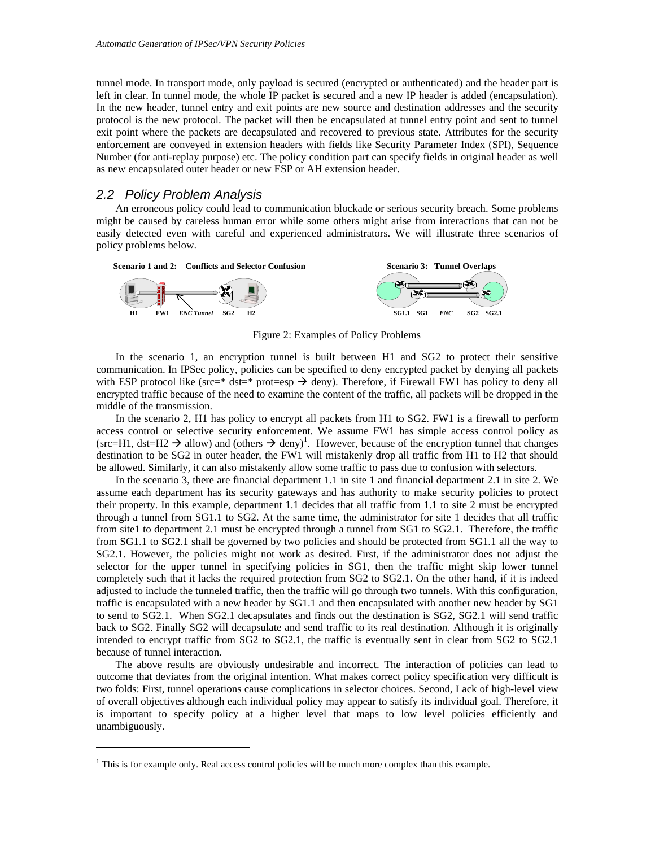tunnel mode. In transport mode, only payload is secured (encrypted or authenticated) and the header part is left in clear. In tunnel mode, the whole IP packet is secured and a new IP header is added (encapsulation). In the new header, tunnel entry and exit points are new source and destination addresses and the security protocol is the new protocol. The packet will then be encapsulated at tunnel entry point and sent to tunnel exit point where the packets are decapsulated and recovered to previous state. Attributes for the security enforcement are conveyed in extension headers with fields like Security Parameter Index (SPI), Sequence Number (for anti-replay purpose) etc. The policy condition part can specify fields in original header as well as new encapsulated outer header or new ESP or AH extension header.

#### *2.2 Policy Problem Analysis*

-

An erroneous policy could lead to communication blockade or serious security breach. Some problems might be caused by careless human error while some others might arise from interactions that can not be easily detected even with careful and experienced administrators. We will illustrate three scenarios of policy problems below.



Figure 2: Examples of Policy Problems

In the scenario 1, an encryption tunnel is built between H1 and SG2 to protect their sensitive communication. In IPSec policy, policies can be specified to deny encrypted packet by denying all packets with ESP protocol like ( $src = * dst = * prote = esp \rightarrow deny$ ). Therefore, if Firewall FW1 has policy to deny all encrypted traffic because of the need to examine the content of the traffic, all packets will be dropped in the middle of the transmission.

In the scenario 2, H1 has policy to encrypt all packets from H1 to SG2. FW1 is a firewall to perform access control or selective security enforcement. We assume FW1 has simple access control policy as  $(\text{src=H1}, \text{dst=H2} \rightarrow \text{allow})$  and  $(\text{others} \rightarrow \text{deny})^1$ . However, because of the encryption tunnel that changes destination to be SG2 in outer header, the FW1 will mistakenly drop all traffic from H1 to H2 that should be allowed. Similarly, it can also mistakenly allow some traffic to pass due to confusion with selectors.

In the scenario 3, there are financial department 1.1 in site 1 and financial department 2.1 in site 2. We assume each department has its security gateways and has authority to make security policies to protect their property. In this example, department 1.1 decides that all traffic from 1.1 to site 2 must be encrypted through a tunnel from SG1.1 to SG2. At the same time, the administrator for site 1 decides that all traffic from site1 to department 2.1 must be encrypted through a tunnel from SG1 to SG2.1. Therefore, the traffic from SG1.1 to SG2.1 shall be governed by two policies and should be protected from SG1.1 all the way to SG2.1. However, the policies might not work as desired. First, if the administrator does not adjust the selector for the upper tunnel in specifying policies in SG1, then the traffic might skip lower tunnel completely such that it lacks the required protection from SG2 to SG2.1. On the other hand, if it is indeed adjusted to include the tunneled traffic, then the traffic will go through two tunnels. With this configuration, traffic is encapsulated with a new header by SG1.1 and then encapsulated with another new header by SG1 to send to SG2.1. When SG2.1 decapsulates and finds out the destination is SG2, SG2.1 will send traffic back to SG2. Finally SG2 will decapsulate and send traffic to its real destination. Although it is originally intended to encrypt traffic from SG2 to SG2.1, the traffic is eventually sent in clear from SG2 to SG2.1 because of tunnel interaction.

The above results are obviously undesirable and incorrect. The interaction of policies can lead to outcome that deviates from the original intention. What makes correct policy specification very difficult is two folds: First, tunnel operations cause complications in selector choices. Second, Lack of high-level view of overall objectives although each individual policy may appear to satisfy its individual goal. Therefore, it is important to specify policy at a higher level that maps to low level policies efficiently and unambiguously.

<sup>&</sup>lt;sup>1</sup> This is for example only. Real access control policies will be much more complex than this example.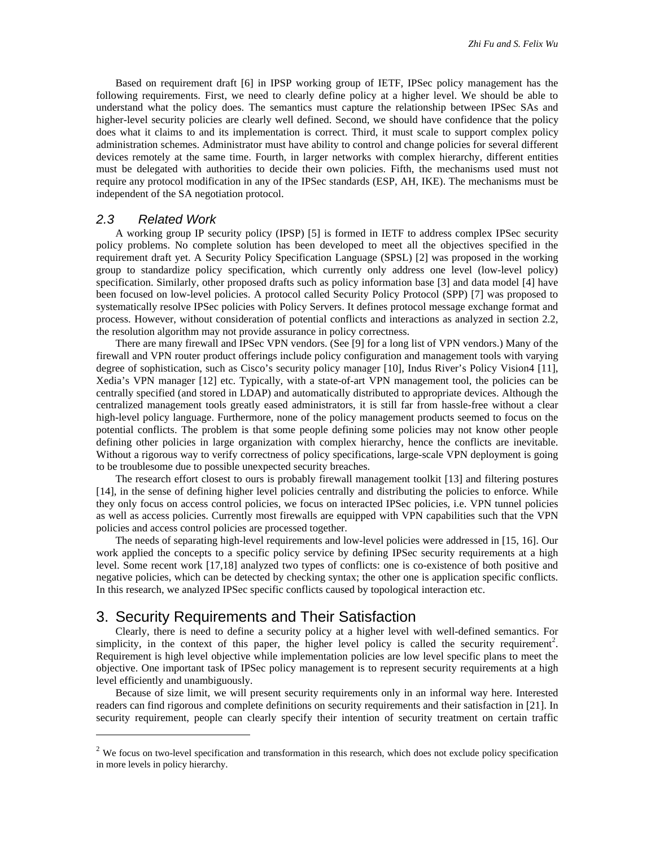Based on requirement draft [6] in IPSP working group of IETF, IPSec policy management has the following requirements. First, we need to clearly define policy at a higher level. We should be able to understand what the policy does. The semantics must capture the relationship between IPSec SAs and higher-level security policies are clearly well defined. Second, we should have confidence that the policy does what it claims to and its implementation is correct. Third, it must scale to support complex policy administration schemes. Administrator must have ability to control and change policies for several different devices remotely at the same time. Fourth, in larger networks with complex hierarchy, different entities must be delegated with authorities to decide their own policies. Fifth, the mechanisms used must not require any protocol modification in any of the IPSec standards (ESP, AH, IKE). The mechanisms must be independent of the SA negotiation protocol.

#### *2.3 Related Work*

 $\overline{a}$ 

A working group IP security policy (IPSP) [5] is formed in IETF to address complex IPSec security policy problems. No complete solution has been developed to meet all the objectives specified in the requirement draft yet. A Security Policy Specification Language (SPSL) [2] was proposed in the working group to standardize policy specification, which currently only address one level (low-level policy) specification. Similarly, other proposed drafts such as policy information base [3] and data model [4] have been focused on low-level policies. A protocol called Security Policy Protocol (SPP) [7] was proposed to systematically resolve IPSec policies with Policy Servers. It defines protocol message exchange format and process. However, without consideration of potential conflicts and interactions as analyzed in section 2.2, the resolution algorithm may not provide assurance in policy correctness.

There are many firewall and IPSec VPN vendors. (See [9] for a long list of VPN vendors.) Many of the firewall and VPN router product offerings include policy configuration and management tools with varying degree of sophistication, such as Cisco's security policy manager [10], Indus River's Policy Vision4 [11], Xedia's VPN manager [12] etc. Typically, with a state-of-art VPN management tool, the policies can be centrally specified (and stored in LDAP) and automatically distributed to appropriate devices. Although the centralized management tools greatly eased administrators, it is still far from hassle-free without a clear high-level policy language. Furthermore, none of the policy management products seemed to focus on the potential conflicts. The problem is that some people defining some policies may not know other people defining other policies in large organization with complex hierarchy, hence the conflicts are inevitable. Without a rigorous way to verify correctness of policy specifications, large-scale VPN deployment is going to be troublesome due to possible unexpected security breaches.

The research effort closest to ours is probably firewall management toolkit [13] and filtering postures [14], in the sense of defining higher level policies centrally and distributing the policies to enforce. While they only focus on access control policies, we focus on interacted IPSec policies, i.e. VPN tunnel policies as well as access policies. Currently most firewalls are equipped with VPN capabilities such that the VPN policies and access control policies are processed together.

The needs of separating high-level requirements and low-level policies were addressed in [15, 16]. Our work applied the concepts to a specific policy service by defining IPSec security requirements at a high level. Some recent work [17,18] analyzed two types of conflicts: one is co-existence of both positive and negative policies, which can be detected by checking syntax; the other one is application specific conflicts. In this research, we analyzed IPSec specific conflicts caused by topological interaction etc.

### 3. Security Requirements and Their Satisfaction

Clearly, there is need to define a security policy at a higher level with well-defined semantics. For simplicity, in the context of this paper, the higher level policy is called the security requirement<sup>2</sup>. Requirement is high level objective while implementation policies are low level specific plans to meet the objective. One important task of IPSec policy management is to represent security requirements at a high level efficiently and unambiguously.

Because of size limit, we will present security requirements only in an informal way here. Interested readers can find rigorous and complete definitions on security requirements and their satisfaction in [21]. In security requirement, people can clearly specify their intention of security treatment on certain traffic

 $2$  We focus on two-level specification and transformation in this research, which does not exclude policy specification in more levels in policy hierarchy.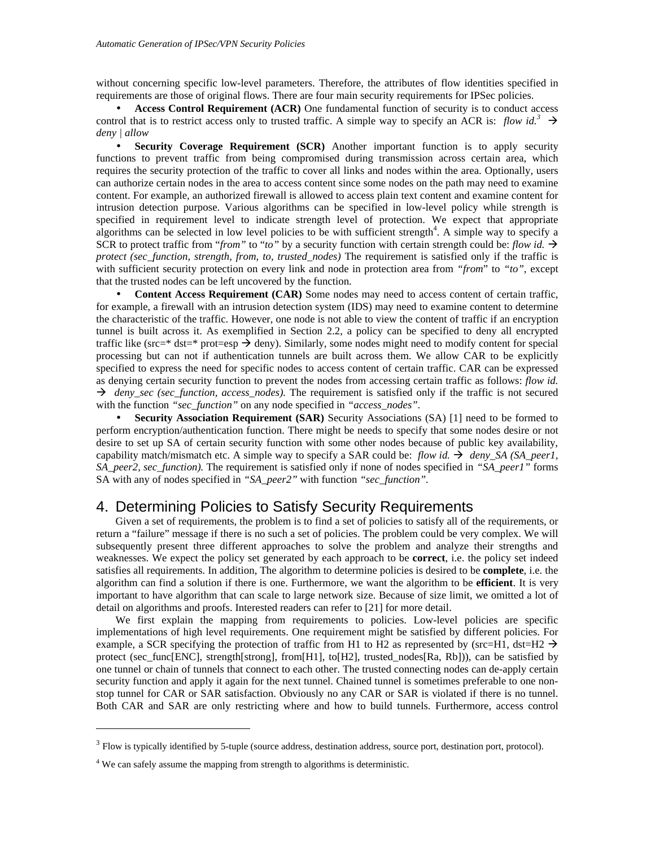without concerning specific low-level parameters. Therefore, the attributes of flow identities specified in requirements are those of original flows. There are four main security requirements for IPSec policies.

• **Access Control Requirement (ACR)** One fundamental function of security is to conduct access control that is to restrict access only to trusted traffic. A simple way to specify an ACR is: *flow id.*<sup>3</sup>  $\rightarrow$ *deny | allow*

• **Security Coverage Requirement (SCR)** Another important function is to apply security functions to prevent traffic from being compromised during transmission across certain area, which requires the security protection of the traffic to cover all links and nodes within the area. Optionally, users can authorize certain nodes in the area to access content since some nodes on the path may need to examine content. For example, an authorized firewall is allowed to access plain text content and examine content for intrusion detection purpose. Various algorithms can be specified in low-level policy while strength is specified in requirement level to indicate strength level of protection. We expect that appropriate algorithms can be selected in low level policies to be with sufficient strength<sup>4</sup>. A simple way to specify a SCR to protect traffic from "*from*" to "*to*" by a security function with certain strength could be: *flow id.*  $\rightarrow$ *protect (sec\_function, strength, from, to, trusted\_nodes)* The requirement is satisfied only if the traffic is with sufficient security protection on every link and node in protection area from *"from*" to *"to"*, except that the trusted nodes can be left uncovered by the function.

• **Content Access Requirement (CAR)** Some nodes may need to access content of certain traffic, for example, a firewall with an intrusion detection system (IDS) may need to examine content to determine the characteristic of the traffic. However, one node is not able to view the content of traffic if an encryption tunnel is built across it. As exemplified in Section 2.2, a policy can be specified to deny all encrypted traffic like (src=\* dst=\* prot=esp  $\rightarrow$  deny). Similarly, some nodes might need to modify content for special processing but can not if authentication tunnels are built across them. We allow CAR to be explicitly specified to express the need for specific nodes to access content of certain traffic. CAR can be expressed as denying certain security function to prevent the nodes from accessing certain traffic as follows: *flow id.* ‡ *deny\_sec (sec\_function, access\_nodes).* The requirement is satisfied only if the traffic is not secured with the function *"sec\_function"* on any node specified in *"access\_nodes".*

• **Security Association Requirement (SAR)** Security Associations (SA) [1] need to be formed to perform encryption/authentication function. There might be needs to specify that some nodes desire or not desire to set up SA of certain security function with some other nodes because of public key availability, capability match/mismatch etc. A simple way to specify a SAR could be: *flow id.*  $\rightarrow$  *deny* SA (SA peer1, *SA\_peer2, sec\_function).* The requirement is satisfied only if none of nodes specified in *"SA\_peer1"* forms SA with any of nodes specified in *"SA\_peer2"* with function *"sec\_function".*

## 4. Determining Policies to Satisfy Security Requirements

Given a set of requirements, the problem is to find a set of policies to satisfy all of the requirements, or return a "failure" message if there is no such a set of policies. The problem could be very complex. We will subsequently present three different approaches to solve the problem and analyze their strengths and weaknesses. We expect the policy set generated by each approach to be **correct**, i.e. the policy set indeed satisfies all requirements. In addition, The algorithm to determine policies is desired to be **complete**, i.e. the algorithm can find a solution if there is one. Furthermore, we want the algorithm to be **efficient**. It is very important to have algorithm that can scale to large network size. Because of size limit, we omitted a lot of detail on algorithms and proofs. Interested readers can refer to [21] for more detail.

We first explain the mapping from requirements to policies. Low-level policies are specific implementations of high level requirements. One requirement might be satisfied by different policies. For example, a SCR specifying the protection of traffic from H1 to H2 as represented by (src=H1, dst=H2  $\rightarrow$ protect (sec\_func[ENC], strength[strong], from[H1], to[H2], trusted\_nodes[Ra, Rb])), can be satisfied by one tunnel or chain of tunnels that connect to each other. The trusted connecting nodes can de-apply certain security function and apply it again for the next tunnel. Chained tunnel is sometimes preferable to one nonstop tunnel for CAR or SAR satisfaction. Obviously no any CAR or SAR is violated if there is no tunnel. Both CAR and SAR are only restricting where and how to build tunnels. Furthermore, access control

 $\overline{a}$ 

 $3$  Flow is typically identified by 5-tuple (source address, destination address, source port, destination port, protocol).

<sup>&</sup>lt;sup>4</sup> We can safely assume the mapping from strength to algorithms is deterministic.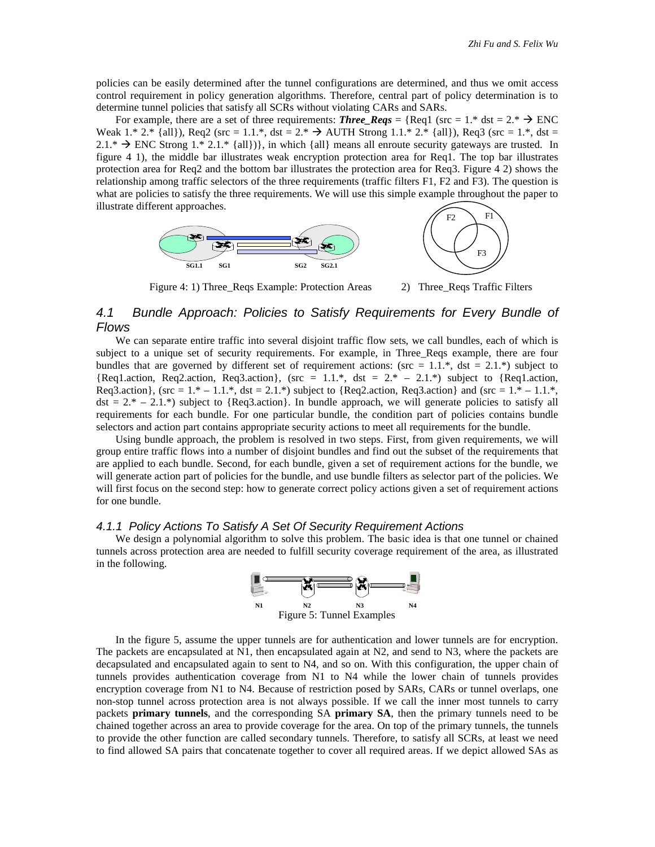policies can be easily determined after the tunnel configurations are determined, and thus we omit access control requirement in policy generation algorithms. Therefore, central part of policy determination is to determine tunnel policies that satisfy all SCRs without violating CARs and SARs.

For example, there are a set of three requirements: **Three** Reqs = {Req1 (src = 1.\* dst = 2.\*  $\rightarrow$  ENC Weak 1.\* 2.\* {all}), Req2 (src = 1.1.\*, dst = 2.\*  $\rightarrow$  AUTH Strong 1.1.\* 2.\* {all}), Req3 (src = 1.\*, dst =  $2.1.* \rightarrow$  ENC Strong 1.\* 2.1.\* {all})}, in which {all} means all enroute security gateways are trusted. In figure 4 1), the middle bar illustrates weak encryption protection area for Req1. The top bar illustrates protection area for Req2 and the bottom bar illustrates the protection area for Req3. Figure 4 2) shows the relationship among traffic selectors of the three requirements (traffic filters F1, F2 and F3). The question is what are policies to satisfy the three requirements. We will use this simple example throughout the paper to illustrate different approaches.



Figure 4: 1) Three\_Reqs Example: Protection Areas 2) Three\_Reqs Traffic Filters

#### *4.1 Bundle Approach: Policies to Satisfy Requirements for Every Bundle of Flows*

We can separate entire traffic into several disjoint traffic flow sets, we call bundles, each of which is subject to a unique set of security requirements. For example, in Three Reqs example, there are four bundles that are governed by different set of requirement actions: ( $src = 1.1$ <sup>\*</sup>, dst = 2.1<sup>\*</sup>) subject to {Req1.action, Req2.action, Req3.action}, (src = 1.1.\*, dst =  $2.* - 2.1.*$ ) subject to {Req1.action, Req3.action}, (src =  $1.* - 1.1.*$ , dst =  $2.1.*$ ) subject to {Req2.action, Req3.action} and (src =  $1.* - 1.1.*$ )  $dst = 2.* - 2.1.*$ ) subject to {Req3.action}. In bundle approach, we will generate policies to satisfy all requirements for each bundle. For one particular bundle, the condition part of policies contains bundle selectors and action part contains appropriate security actions to meet all requirements for the bundle.

Using bundle approach, the problem is resolved in two steps. First, from given requirements, we will group entire traffic flows into a number of disjoint bundles and find out the subset of the requirements that are applied to each bundle. Second, for each bundle, given a set of requirement actions for the bundle, we will generate action part of policies for the bundle, and use bundle filters as selector part of the policies. We will first focus on the second step: how to generate correct policy actions given a set of requirement actions for one bundle.

#### *4.1.1 Policy Actions To Satisfy A Set Of Security Requirement Actions*

We design a polynomial algorithm to solve this problem. The basic idea is that one tunnel or chained tunnels across protection area are needed to fulfill security coverage requirement of the area, as illustrated in the following.



In the figure 5, assume the upper tunnels are for authentication and lower tunnels are for encryption. The packets are encapsulated at N1, then encapsulated again at N2, and send to N3, where the packets are decapsulated and encapsulated again to sent to N4, and so on. With this configuration, the upper chain of tunnels provides authentication coverage from N1 to N4 while the lower chain of tunnels provides encryption coverage from N1 to N4. Because of restriction posed by SARs, CARs or tunnel overlaps, one non-stop tunnel across protection area is not always possible. If we call the inner most tunnels to carry packets **primary tunnels**, and the corresponding SA **primary SA**, then the primary tunnels need to be chained together across an area to provide coverage for the area. On top of the primary tunnels, the tunnels to provide the other function are called secondary tunnels. Therefore, to satisfy all SCRs, at least we need to find allowed SA pairs that concatenate together to cover all required areas. If we depict allowed SAs as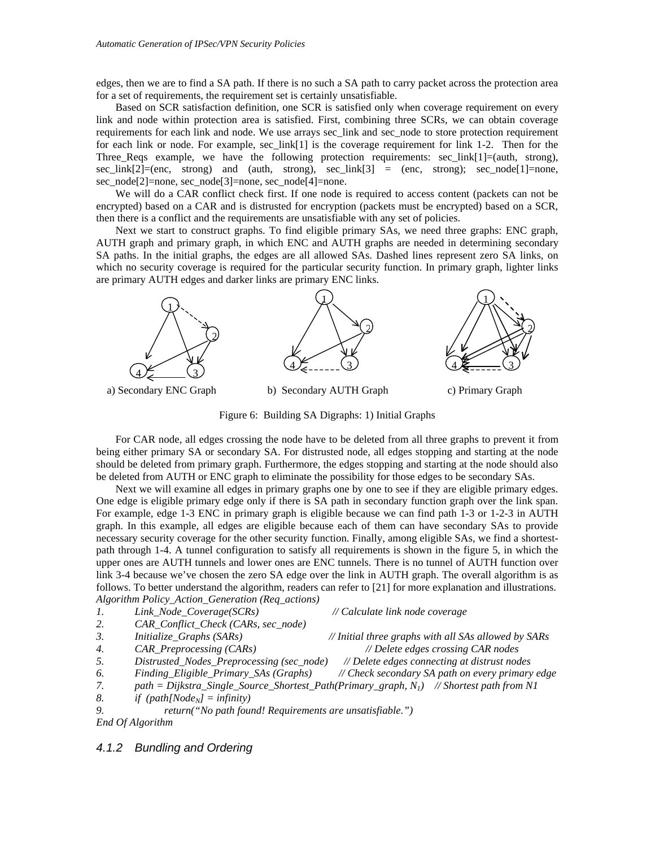edges, then we are to find a SA path. If there is no such a SA path to carry packet across the protection area for a set of requirements, the requirement set is certainly unsatisfiable.

Based on SCR satisfaction definition, one SCR is satisfied only when coverage requirement on every link and node within protection area is satisfied. First, combining three SCRs, we can obtain coverage requirements for each link and node. We use arrays sec\_link and sec\_node to store protection requirement for each link or node. For example, sec\_link[1] is the coverage requirement for link 1-2. Then for the Three Reqs example, we have the following protection requirements: sec link $[1] = (auth, strong)$ ,  $\sec\text{link}[2] = (\text{enc}, \text{strong})$  and (auth, strong),  $\sec\text{link}[3] = (\text{enc}, \text{strong})$ ;  $\sec\text{node}[1] = \text{none}$ , sec\_node[2]=none, sec\_node[3]=none, sec\_node[4]=none.

We will do a CAR conflict check first. If one node is required to access content (packets can not be encrypted) based on a CAR and is distrusted for encryption (packets must be encrypted) based on a SCR, then there is a conflict and the requirements are unsatisfiable with any set of policies.

Next we start to construct graphs. To find eligible primary SAs, we need three graphs: ENC graph, AUTH graph and primary graph, in which ENC and AUTH graphs are needed in determining secondary SA paths. In the initial graphs, the edges are all allowed SAs. Dashed lines represent zero SA links, on which no security coverage is required for the particular security function. In primary graph, lighter links are primary AUTH edges and darker links are primary ENC links.



Figure 6: Building SA Digraphs: 1) Initial Graphs

For CAR node, all edges crossing the node have to be deleted from all three graphs to prevent it from being either primary SA or secondary SA. For distrusted node, all edges stopping and starting at the node should be deleted from primary graph. Furthermore, the edges stopping and starting at the node should also be deleted from AUTH or ENC graph to eliminate the possibility for those edges to be secondary SAs.

Next we will examine all edges in primary graphs one by one to see if they are eligible primary edges. One edge is eligible primary edge only if there is SA path in secondary function graph over the link span. For example, edge 1-3 ENC in primary graph is eligible because we can find path 1-3 or 1-2-3 in AUTH graph. In this example, all edges are eligible because each of them can have secondary SAs to provide necessary security coverage for the other security function. Finally, among eligible SAs, we find a shortestpath through 1-4. A tunnel configuration to satisfy all requirements is shown in the figure 5, in which the upper ones are AUTH tunnels and lower ones are ENC tunnels. There is no tunnel of AUTH function over link 3-4 because we've chosen the zero SA edge over the link in AUTH graph. The overall algorithm is as follows. To better understand the algorithm, readers can refer to [21] for more explanation and illustrations. *Algorithm Policy\_Action\_Generation (Req\_actions)*

```
1. Link_Node_Coverage(SCRs) // Calculate link node coverage
2. CAR_Conflict_Check (CARs, sec_node)
3. Initialize_Graphs (SARs) // Initial three graphs with all SAs allowed by SARs
4. CAR_Preprocessing (CARs) // Delete edges crossing CAR nodes
5. Distrusted_Nodes_Preprocessing (sec_node) // Delete edges connecting at distrust nodes
6. Finding_Eligible_Primary_SAs (Graphs) // Check secondary SA path on every primary edge
7. path = Dijkstra_Single_Source_Shortest_Path(Primary_graph, N1) // Shortest path from N1
8. if (path[NodeN] = infinity)
9. return("No path found! Requirements are unsatisfiable.")
```
*End Of Algorithm*

#### *4.1.2 Bundling and Ordering*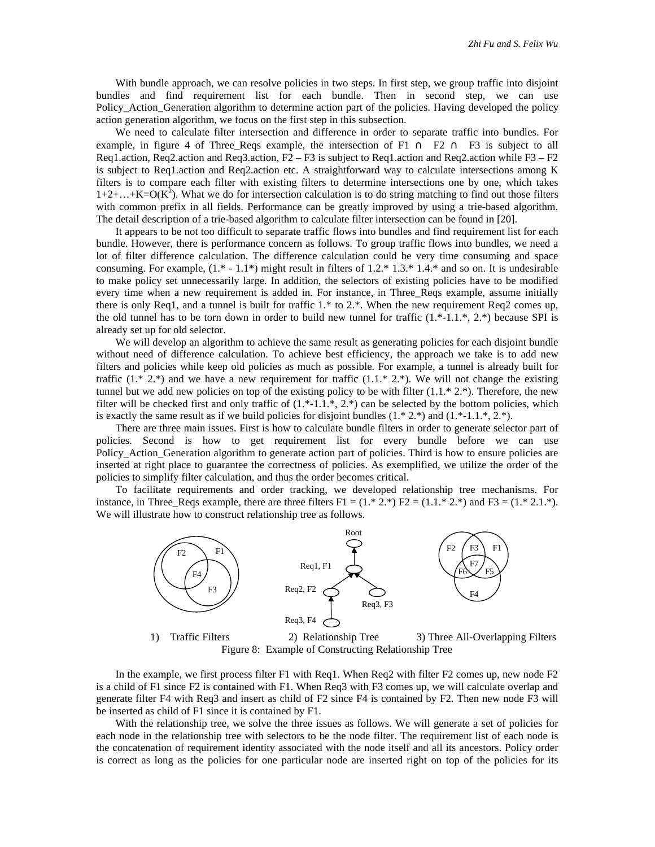With bundle approach, we can resolve policies in two steps. In first step, we group traffic into disjoint bundles and find requirement list for each bundle. Then in second step, we can use Policy\_Action\_Generation algorithm to determine action part of the policies. Having developed the policy action generation algorithm, we focus on the first step in this subsection.

We need to calculate filter intersection and difference in order to separate traffic into bundles. For example, in figure 4 of Three Reqs example, the intersection of F1 ∩ F2 ∩ F3 is subject to all Req1.action, Req2.action and Req3.action,  $F2 - F3$  is subject to Req1.action and Req2.action while  $F3 - F2$ is subject to Req1.action and Req2.action etc. A straightforward way to calculate intersections among K filters is to compare each filter with existing filters to determine intersections one by one, which takes  $1+2+\ldots+K=O(K^2)$ . What we do for intersection calculation is to do string matching to find out those filters with common prefix in all fields. Performance can be greatly improved by using a trie-based algorithm. The detail description of a trie-based algorithm to calculate filter intersection can be found in [20].

It appears to be not too difficult to separate traffic flows into bundles and find requirement list for each bundle. However, there is performance concern as follows. To group traffic flows into bundles, we need a lot of filter difference calculation. The difference calculation could be very time consuming and space consuming. For example,  $(1^* - 1.1^*)$  might result in filters of  $1.2^* 1.3^* 1.4^*$  and so on. It is undesirable to make policy set unnecessarily large. In addition, the selectors of existing policies have to be modified every time when a new requirement is added in. For instance, in Three\_Reqs example, assume initially there is only Req1, and a tunnel is built for traffic 1.\* to 2.\*. When the new requirement Req2 comes up, the old tunnel has to be torn down in order to build new tunnel for traffic  $(1.*-1.1.*, 2.*)$  because SPI is already set up for old selector.

We will develop an algorithm to achieve the same result as generating policies for each disjoint bundle without need of difference calculation. To achieve best efficiency, the approach we take is to add new filters and policies while keep old policies as much as possible. For example, a tunnel is already built for traffic  $(1.* 2.*)$  and we have a new requirement for traffic  $(1.1.* 2.*)$ . We will not change the existing tunnel but we add new policies on top of the existing policy to be with filter  $(1.1 * 2.*)$ . Therefore, the new filter will be checked first and only traffic of  $(1.*-1.1.*, 2.*)$  can be selected by the bottom policies, which is exactly the same result as if we build policies for disjoint bundles  $(1.* 2.*)$  and  $(1.*-1.1.*, 2.*)$ .

There are three main issues. First is how to calculate bundle filters in order to generate selector part of policies. Second is how to get requirement list for every bundle before we can use Policy\_Action\_Generation algorithm to generate action part of policies. Third is how to ensure policies are inserted at right place to guarantee the correctness of policies. As exemplified, we utilize the order of the policies to simplify filter calculation, and thus the order becomes critical.

To facilitate requirements and order tracking, we developed relationship tree mechanisms. For instance, in Three\_Reqs example, there are three filters  $F1 = (1.* 2.*) F2 = (1.1.* 2.*)$  and  $F3 = (1.* 2.1.*)$ . We will illustrate how to construct relationship tree as follows.



Figure 8: Example of Constructing Relationship Tree

In the example, we first process filter F1 with Req1. When Req2 with filter F2 comes up, new node F2 is a child of F1 since F2 is contained with F1. When Req3 with F3 comes up, we will calculate overlap and generate filter F4 with Req3 and insert as child of F2 since F4 is contained by F2. Then new node F3 will be inserted as child of F1 since it is contained by F1.

With the relationship tree, we solve the three issues as follows. We will generate a set of policies for each node in the relationship tree with selectors to be the node filter. The requirement list of each node is the concatenation of requirement identity associated with the node itself and all its ancestors. Policy order is correct as long as the policies for one particular node are inserted right on top of the policies for its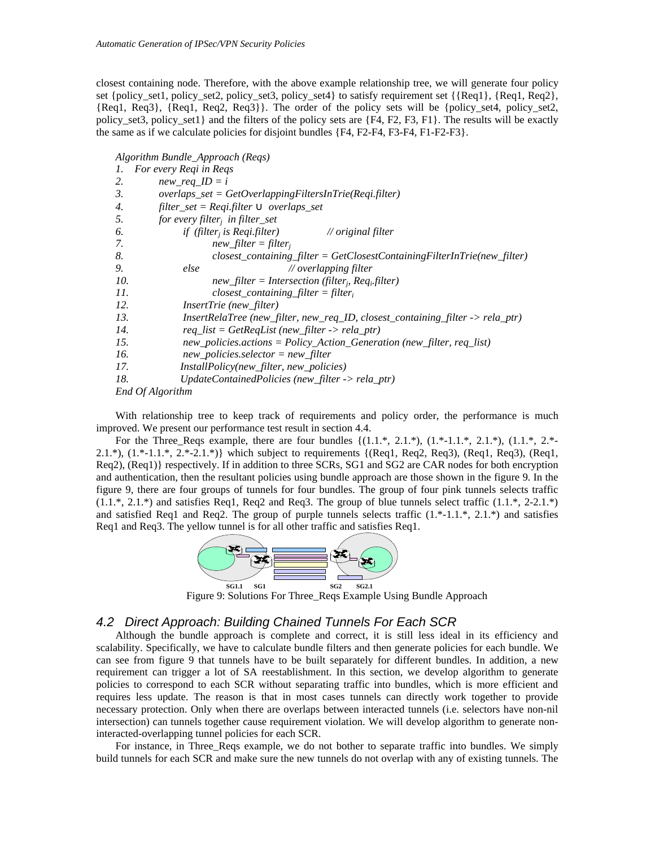closest containing node. Therefore, with the above example relationship tree, we will generate four policy set {policy\_set1, policy\_set2, policy\_set3, policy\_set4} to satisfy requirement set {{Req1}, {Req1, Req2}, {Req1, Req3}, {Req1, Req2, Req3}}. The order of the policy sets will be {policy\_set4, policy\_set2, policy set3, policy set1} and the filters of the policy sets are  ${F4, F2, F3, F1}$ . The results will be exactly the same as if we calculate policies for disjoint bundles  ${F4, F2-F4, F3-F4, F1-F2-F3}.$ 

*Algorithm Bundle\_Approach (Reqs)*

| 1.  | For every Reqi in Reqs                                                         |
|-----|--------------------------------------------------------------------------------|
| 2.  | $new\_req\_ID = i$                                                             |
| 3.  | $overlaps\_set = GetOverlapping Filters In Trie(Regi.filter)$                  |
| 4.  | filter_set = Reqi.filter $\tilde{E}$ overlaps_set                              |
| 5.  | for every filter <sub>i</sub> in filter_set                                    |
| 6.  | if (filter <sub>i</sub> is Reqi.filter)<br>$\sqrt{}$ original filter           |
| 7.  | $new\_filter = filter_i$                                                       |
| 8.  | $closest\_containing_{filter} = GetClosestContainerFilterInTri (new_{filter})$ |
| 9.  | else<br>$\mathcal N$ overlapping filter                                        |
| 10. | $new\_filter = Intersection(filter, Req_ifilter)$                              |
| 11. | $closest\_containing\_filter = filter_i$                                       |
| 12. | <i>InsertTrie (new_filter)</i>                                                 |
| 13. | InsertRelaTree (new_filter, new_req_ID, closest_containing_filter -> rela_ptr) |
| 14. | $req\_list = GetRegList(new_fitter \rightarrow rela\_ptr)$                     |
| 15. | $new\_pollicies. actions = Policy\_Action\_Generation$ (new_filter, req_list)  |
| 16. | $new\_policies. selector = new\_filter$                                        |
| 17. | <i>InstallPolicy(new_filter, new_policies)</i>                                 |
| 18. | $UpdateContainer dPolicies (new-filter \rightarrow rela_prr)$                  |
|     | <b>Fnd Of Algorithm</b>                                                        |

*End Of Algorithm*

With relationship tree to keep track of requirements and policy order, the performance is much improved. We present our performance test result in section 4.4.

For the Three\_Reqs example, there are four bundles  $\{(1.1.*, 2.1.*, (1.*, 2.1.*, (1.1.*, 2.1.*)$ 2.1.\*),  $(1.*-1.1.*, 2.*-2.1.*)$  which subject to requirements  ${(Reg1, Reg2, Reg3), (Reg1, Reg3), (Reg1,$ Req2), (Req1)} respectively. If in addition to three SCRs, SG1 and SG2 are CAR nodes for both encryption and authentication, then the resultant policies using bundle approach are those shown in the figure 9. In the figure 9, there are four groups of tunnels for four bundles. The group of four pink tunnels selects traffic  $(1.1.*, 2.1.*)$  and satisfies Req1, Req2 and Req3. The group of blue tunnels select traffic  $(1.1.*, 2-2.1.*)$ and satisfied Req1 and Req2. The group of purple tunnels selects traffic  $(1.*-1.1.*, 2.1.*)$  and satisfies Req1 and Req3. The yellow tunnel is for all other traffic and satisfies Req1.



Figure 9: Solutions For Three\_Reqs Example Using Bundle Approach

#### *4.2 Direct Approach: Building Chained Tunnels For Each SCR*

Although the bundle approach is complete and correct, it is still less ideal in its efficiency and scalability. Specifically, we have to calculate bundle filters and then generate policies for each bundle. We can see from figure 9 that tunnels have to be built separately for different bundles. In addition, a new requirement can trigger a lot of SA reestablishment. In this section, we develop algorithm to generate policies to correspond to each SCR without separating traffic into bundles, which is more efficient and requires less update. The reason is that in most cases tunnels can directly work together to provide necessary protection. Only when there are overlaps between interacted tunnels (i.e. selectors have non-nil intersection) can tunnels together cause requirement violation. We will develop algorithm to generate noninteracted-overlapping tunnel policies for each SCR.

For instance, in Three\_Reqs example, we do not bother to separate traffic into bundles. We simply build tunnels for each SCR and make sure the new tunnels do not overlap with any of existing tunnels. The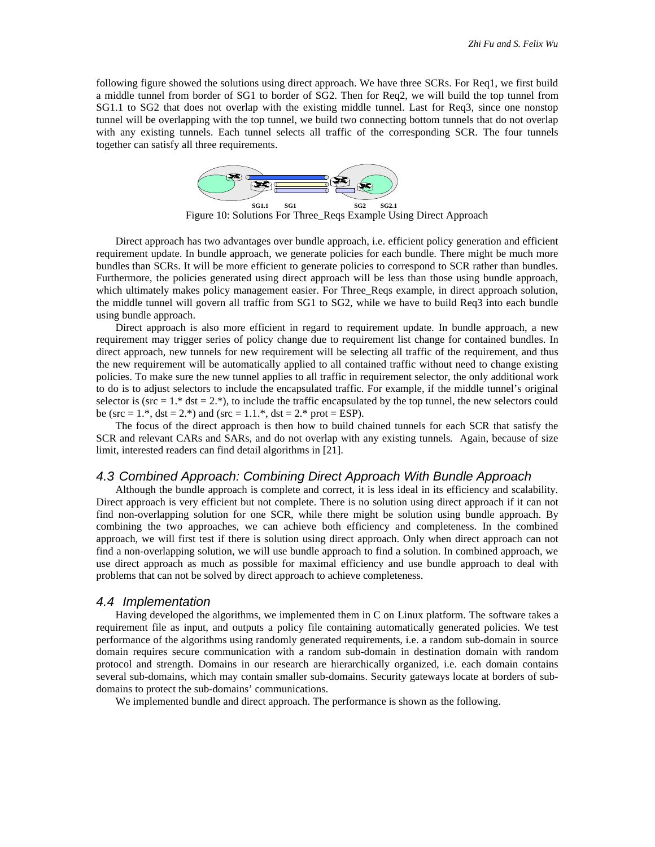following figure showed the solutions using direct approach. We have three SCRs. For Req1, we first build a middle tunnel from border of SG1 to border of SG2. Then for Req2, we will build the top tunnel from SG1.1 to SG2 that does not overlap with the existing middle tunnel. Last for Req3, since one nonstop tunnel will be overlapping with the top tunnel, we build two connecting bottom tunnels that do not overlap with any existing tunnels. Each tunnel selects all traffic of the corresponding SCR. The four tunnels together can satisfy all three requirements.



Figure 10: Solutions For Three\_Reqs Example Using Direct Approach

Direct approach has two advantages over bundle approach, i.e. efficient policy generation and efficient requirement update. In bundle approach, we generate policies for each bundle. There might be much more bundles than SCRs. It will be more efficient to generate policies to correspond to SCR rather than bundles. Furthermore, the policies generated using direct approach will be less than those using bundle approach, which ultimately makes policy management easier. For Three\_Reqs example, in direct approach solution, the middle tunnel will govern all traffic from SG1 to SG2, while we have to build Req3 into each bundle using bundle approach.

Direct approach is also more efficient in regard to requirement update. In bundle approach, a new requirement may trigger series of policy change due to requirement list change for contained bundles. In direct approach, new tunnels for new requirement will be selecting all traffic of the requirement, and thus the new requirement will be automatically applied to all contained traffic without need to change existing policies. To make sure the new tunnel applies to all traffic in requirement selector, the only additional work to do is to adjust selectors to include the encapsulated traffic. For example, if the middle tunnel's original selector is ( $src = 1.*$  dst = 2.\*), to include the traffic encapsulated by the top tunnel, the new selectors could be (src =  $1.*$ , dst =  $2.*$ ) and (src =  $1.1.*$ , dst =  $2.*$  prot = ESP).

The focus of the direct approach is then how to build chained tunnels for each SCR that satisfy the SCR and relevant CARs and SARs, and do not overlap with any existing tunnels*.* Again, because of size limit, interested readers can find detail algorithms in [21].

#### *4.3 Combined Approach: Combining Direct Approach With Bundle Approach*

Although the bundle approach is complete and correct, it is less ideal in its efficiency and scalability. Direct approach is very efficient but not complete. There is no solution using direct approach if it can not find non-overlapping solution for one SCR, while there might be solution using bundle approach. By combining the two approaches, we can achieve both efficiency and completeness. In the combined approach, we will first test if there is solution using direct approach. Only when direct approach can not find a non-overlapping solution, we will use bundle approach to find a solution. In combined approach, we use direct approach as much as possible for maximal efficiency and use bundle approach to deal with problems that can not be solved by direct approach to achieve completeness.

#### *4.4 Implementation*

Having developed the algorithms, we implemented them in C on Linux platform. The software takes a requirement file as input, and outputs a policy file containing automatically generated policies. We test performance of the algorithms using randomly generated requirements, i.e. a random sub-domain in source domain requires secure communication with a random sub-domain in destination domain with random protocol and strength. Domains in our research are hierarchically organized, i.e. each domain contains several sub-domains, which may contain smaller sub-domains. Security gateways locate at borders of subdomains to protect the sub-domains' communications.

We implemented bundle and direct approach. The performance is shown as the following.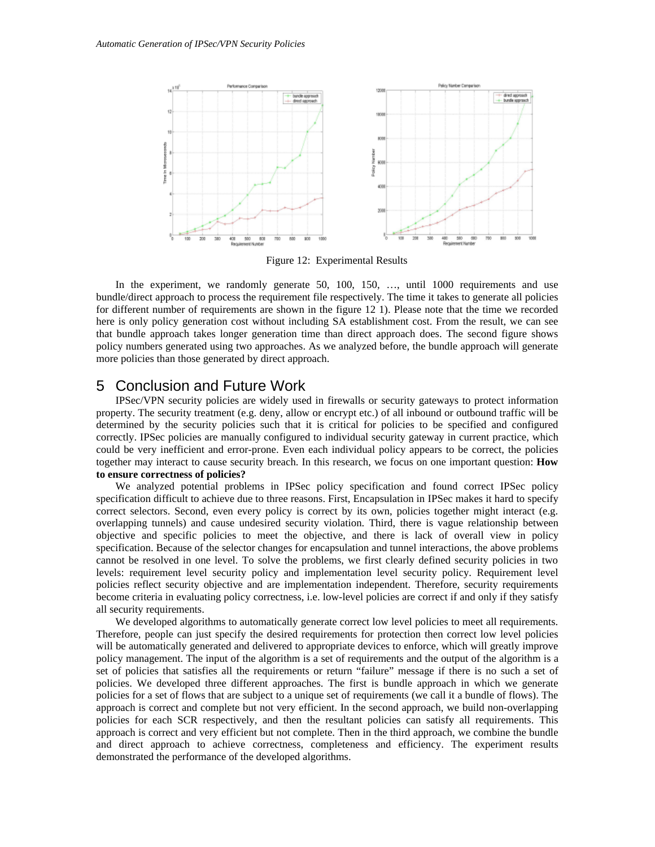

Figure 12: Experimental Results

In the experiment, we randomly generate 50, 100, 150, ..., until 1000 requirements and use bundle/direct approach to process the requirement file respectively. The time it takes to generate all policies for different number of requirements are shown in the figure 12 1). Please note that the time we recorded here is only policy generation cost without including SA establishment cost. From the result, we can see that bundle approach takes longer generation time than direct approach does. The second figure shows policy numbers generated using two approaches. As we analyzed before, the bundle approach will generate more policies than those generated by direct approach.

## 5 Conclusion and Future Work

IPSec/VPN security policies are widely used in firewalls or security gateways to protect information property. The security treatment (e.g. deny, allow or encrypt etc.) of all inbound or outbound traffic will be determined by the security policies such that it is critical for policies to be specified and configured correctly. IPSec policies are manually configured to individual security gateway in current practice, which could be very inefficient and error-prone. Even each individual policy appears to be correct, the policies together may interact to cause security breach. In this research, we focus on one important question: **How to ensure correctness of policies?**

We analyzed potential problems in IPSec policy specification and found correct IPSec policy specification difficult to achieve due to three reasons. First, Encapsulation in IPSec makes it hard to specify correct selectors. Second, even every policy is correct by its own, policies together might interact (e.g. overlapping tunnels) and cause undesired security violation. Third, there is vague relationship between objective and specific policies to meet the objective, and there is lack of overall view in policy specification. Because of the selector changes for encapsulation and tunnel interactions, the above problems cannot be resolved in one level. To solve the problems, we first clearly defined security policies in two levels: requirement level security policy and implementation level security policy. Requirement level policies reflect security objective and are implementation independent. Therefore, security requirements become criteria in evaluating policy correctness, i.e. low-level policies are correct if and only if they satisfy all security requirements.

We developed algorithms to automatically generate correct low level policies to meet all requirements. Therefore, people can just specify the desired requirements for protection then correct low level policies will be automatically generated and delivered to appropriate devices to enforce, which will greatly improve policy management. The input of the algorithm is a set of requirements and the output of the algorithm is a set of policies that satisfies all the requirements or return "failure" message if there is no such a set of policies. We developed three different approaches. The first is bundle approach in which we generate policies for a set of flows that are subject to a unique set of requirements (we call it a bundle of flows). The approach is correct and complete but not very efficient. In the second approach, we build non-overlapping policies for each SCR respectively, and then the resultant policies can satisfy all requirements. This approach is correct and very efficient but not complete. Then in the third approach, we combine the bundle and direct approach to achieve correctness, completeness and efficiency. The experiment results demonstrated the performance of the developed algorithms.